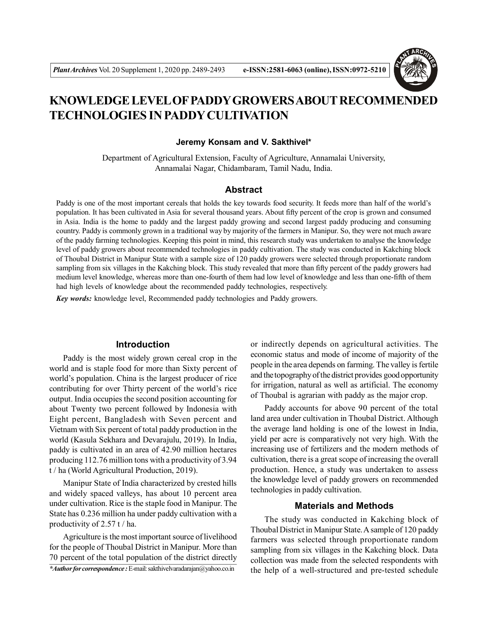

# **KNOWLEDGE LEVEL OF PADDY GROWERS ABOUT RECOMMENDED TECHNOLOGIES IN PADDY CULTIVATION**

#### **Jeremy Konsam and V. Sakthivel\***

Department of Agricultural Extension, Faculty of Agriculture, Annamalai University, Annamalai Nagar, Chidambaram, Tamil Nadu, India.

## **Abstract**

Paddy is one of the most important cereals that holds the key towards food security. It feeds more than half of the world's population. It has been cultivated in Asia for several thousand years. About fifty percent of the crop is grown and consumed in Asia. India is the home to paddy and the largest paddy growing and second largest paddy producing and consuming country. Paddy is commonly grown in a traditional way by majority of the farmers in Manipur. So, they were not much aware of the paddy farming technologies. Keeping this point in mind, this research study was undertaken to analyse the knowledge level of paddy growers about recommended technologies in paddy cultivation. The study was conducted in Kakching block of Thoubal District in Manipur State with a sample size of 120 paddy growers were selected through proportionate random sampling from six villages in the Kakching block. This study revealed that more than fifty percent of the paddy growers had medium level knowledge, whereas more than one-fourth of them had low level of knowledge and less than one-fifth of them had high levels of knowledge about the recommended paddy technologies, respectively.

*Key words:* knowledge level, Recommended paddy technologies and Paddy growers.

#### **Introduction**

Paddy is the most widely grown cereal crop in the world and is staple food for more than Sixty percent of world's population. China is the largest producer of rice contributing for over Thirty percent of the world's rice output. India occupies the second position accounting for about Twenty two percent followed by Indonesia with Eight percent, Bangladesh with Seven percent and Vietnam with Six percent of total paddy production in the world (Kasula Sekhara and Devarajulu, 2019). In India, paddy is cultivated in an area of 42.90 million hectares producing 112.76 million tons with a productivity of 3.94 t / ha (World Agricultural Production, 2019).

Manipur State of India characterized by crested hills and widely spaced valleys, has about 10 percent area under cultivation. Rice is the staple food in Manipur. The State has 0.236 million ha under paddy cultivation with a productivity of 2.57 t / ha.

Agriculture is the most important source of livelihood for the people of Thoubal District in Manipur. More than 70 percent of the total population of the district directly or indirectly depends on agricultural activities. The economic status and mode of income of majority of the people in the area depends on farming. The valley is fertile and the topography of the district provides good opportunity for irrigation, natural as well as artificial. The economy of Thoubal is agrarian with paddy as the major crop.

Paddy accounts for above 90 percent of the total land area under cultivation in Thoubal District. Although the average land holding is one of the lowest in India, yield per acre is comparatively not very high. With the increasing use of fertilizers and the modern methods of cultivation, there is a great scope of increasing the overall production. Hence, a study was undertaken to assess the knowledge level of paddy growers on recommended technologies in paddy cultivation.

#### **Materials and Methods**

The study was conducted in Kakching block of Thoubal District in Manipur State. A sample of 120 paddy farmers was selected through proportionate random sampling from six villages in the Kakching block. Data collection was made from the selected respondents with the help of a well-structured and pre-tested schedule

*<sup>\*</sup>Author for correspondence :* E-mail: sakthivelvaradarajan@yahoo.co.in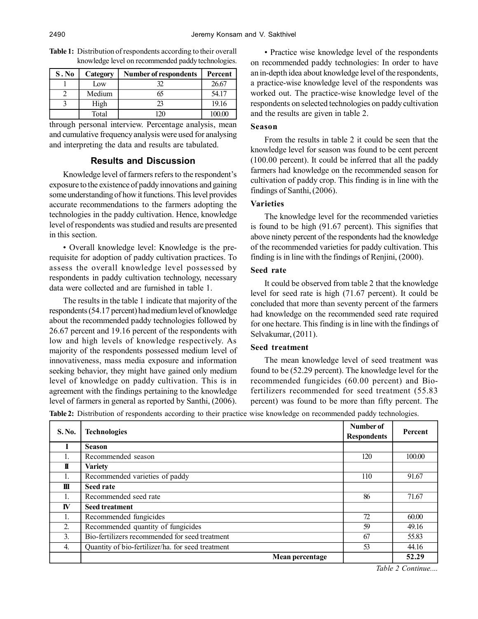| S. No | Category | <b>Number of respondents</b> | Percent |
|-------|----------|------------------------------|---------|
|       | Low      |                              | 26.67   |
|       | Medium   |                              | 54.17   |
|       | High     | つつ                           | 19.16   |
|       | Total    |                              | 100.00  |

**Table 1:** Distribution of respondents according to their overall knowledge level on recommended paddy technologies.

through personal interview. Percentage analysis, mean and cumulative frequency analysis were used for analysing and interpreting the data and results are tabulated.

## **Results and Discussion**

Knowledge level of farmers refers to the respondent's exposure to the existence of paddy innovations and gaining some understanding of how it functions. This level provides accurate recommendations to the farmers adopting the technologies in the paddy cultivation. Hence, knowledge level of respondents was studied and results are presented in this section.

• Overall knowledge level: Knowledge is the prerequisite for adoption of paddy cultivation practices. To assess the overall knowledge level possessed by respondents in paddy cultivation technology, necessary data were collected and are furnished in table 1.

The results in the table 1 indicate that majority of the respondents (54.17 percent) had medium level of knowledge about the recommended paddy technologies followed by 26.67 percent and 19.16 percent of the respondents with low and high levels of knowledge respectively. As majority of the respondents possessed medium level of innovativeness, mass media exposure and information seeking behavior, they might have gained only medium level of knowledge on paddy cultivation. This is in agreement with the findings pertaining to the knowledge level of farmers in general as reported by Santhi, (2006).

• Practice wise knowledge level of the respondents on recommended paddy technologies: In order to have an in-depth idea about knowledge level of the respondents, a practice-wise knowledge level of the respondents was worked out. The practice-wise knowledge level of the respondents on selected technologies on paddy cultivation and the results are given in table 2.

# **Season**

From the results in table 2 it could be seen that the knowledge level for season was found to be cent percent (100.00 percent). It could be inferred that all the paddy farmers had knowledge on the recommended season for cultivation of paddy crop. This finding is in line with the findings of Santhi, (2006).

# **Varieties**

The knowledge level for the recommended varieties is found to be high (91.67 percent). This signifies that above ninety percent of the respondents had the knowledge of the recommended varieties for paddy cultivation. This finding is in line with the findings of Renjini, (2000).

# **Seed rate**

It could be observed from table 2 that the knowledge level for seed rate is high (71.67 percent). It could be concluded that more than seventy percent of the farmers had knowledge on the recommended seed rate required for one hectare. This finding is in line with the findings of Selvakumar, (2011).

# **Seed treatment**

The mean knowledge level of seed treatment was found to be (52.29 percent). The knowledge level for the recommended fungicides (60.00 percent) and Biofertilizers recommended for seed treatment (55.83 percent) was found to be more than fifty percent. The

**Table 2:** Distribution of respondents according to their practice wise knowledge on recommended paddy technologies.

| S. No.       | <b>Technologies</b>                               | Number of<br><b>Respondents</b> | Percent        |
|--------------|---------------------------------------------------|---------------------------------|----------------|
|              | <b>Season</b>                                     |                                 |                |
| 1.           | Recommended season                                |                                 | 100.00         |
| T            | <b>Variety</b>                                    |                                 |                |
| 1.           | Recommended varieties of paddy                    | 110                             | 91.67          |
| $\mathbf{m}$ | <b>Seed rate</b>                                  |                                 |                |
| 1.           | Recommended seed rate                             |                                 | 71.67          |
| <b>IV</b>    | <b>Seed treatment</b>                             |                                 |                |
| 1.           | Recommended fungicides                            |                                 | 60.00          |
| 2.           | Recommended quantity of fungicides                | 59                              | 49.16          |
| 3.           | Bio-fertilizers recommended for seed treatment    |                                 | 55.83          |
| 4.           | Quantity of bio-fertilizer/ha. for seed treatment | 53                              | 44.16          |
|              | Mean percentage                                   |                                 | 52.29<br>----- |

*Table 2 Continue....*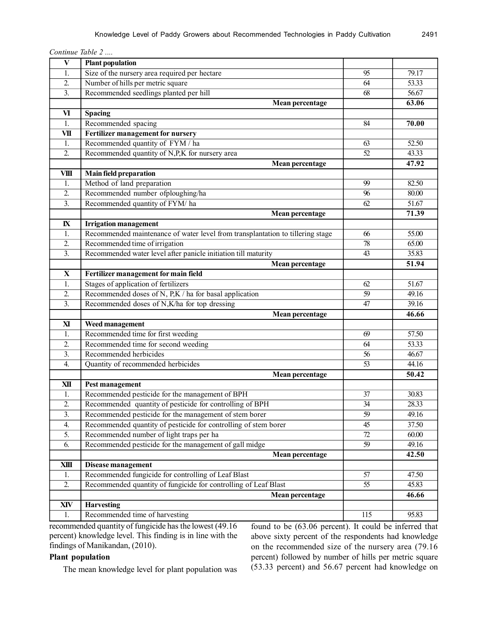| Continue Table 2 |  |  |
|------------------|--|--|
|                  |  |  |

| $\mathbf{V}$     | <b>Plant population</b>                                                        |                 |       |
|------------------|--------------------------------------------------------------------------------|-----------------|-------|
| 1.               | Size of the nursery area required per hectare                                  | 95              | 79.17 |
| 2.               | Number of hills per metric square                                              |                 | 53.33 |
| $\overline{3}$ . | Recommended seedlings planted per hill                                         | $\overline{68}$ | 56.67 |
|                  | <b>Mean percentage</b>                                                         |                 | 63.06 |
| VI               | Spacing                                                                        |                 |       |
| 1.               | Recommended spacing                                                            | 84              | 70.00 |
| VII              | Fertilizer management for nursery                                              |                 |       |
| 1.               | Recommended quantity of FYM / ha                                               | 63              | 52.50 |
| $\overline{2}$ . | Recommended quantity of N,P,K for nursery area                                 |                 | 43.33 |
|                  | <b>Mean percentage</b>                                                         |                 | 47.92 |
| <b>VIII</b>      | <b>Main field preparation</b>                                                  |                 |       |
| 1.               | Method of land preparation                                                     | 99              | 82.50 |
| 2.               | Recommended number ofploughing/ha                                              |                 | 80.00 |
| $\overline{3}$ . | Recommended quantity of FYM/ha                                                 | 62              | 51.67 |
|                  | <b>Mean percentage</b>                                                         |                 | 71.39 |
| $\mathbf{I}$     | <b>Irrigation management</b>                                                   |                 |       |
| 1.               | Recommended maintenance of water level from transplantation to tillering stage | 66              | 55.00 |
| $\overline{2}$ . | Recommended time of irrigation                                                 | 78              | 65.00 |
| $\overline{3}$ . | Recommended water level after panicle initiation till maturity                 | 43              | 35.83 |
|                  | <b>Mean percentage</b>                                                         |                 | 51.94 |
| $\mathbf{X}$     | Fertilizer management for main field                                           |                 |       |
| 1.               | Stages of application of fertilizers                                           | 62              | 51.67 |
| 2.               | Recommended doses of N, $P,K$ / ha for basal application                       | $\overline{59}$ | 49.16 |
| $\overline{3}$ . | Recommended doses of N,K/ha for top dressing                                   |                 | 39.16 |
|                  | Mean percentage                                                                |                 | 46.66 |
| ${\bf X}$        | Weed management                                                                |                 |       |
| 1.               | Recommended time for first weeding                                             | 69              | 57.50 |
| 2.               | Recommended time for second weeding                                            |                 | 53.33 |
| $\overline{3}$ . | Recommended herbicides                                                         |                 | 46.67 |
| 4.               | Quantity of recommended herbicides                                             | 53              | 44.16 |
|                  | Mean percentage                                                                |                 | 50.42 |
| XII              | Pest management                                                                |                 |       |
| 1.               | Recommended pesticide for the management of BPH                                | 37              | 30.83 |
| $\overline{2}$ . | Recommended quantity of pesticide for controlling of BPH                       | 34              | 28.33 |
| 3.               | Recommended pesticide for the management of stem borer                         | 59              | 49.16 |
| 4.               | Recommended quantity of pesticide for controlling of stem borer                | 45              | 37.50 |
| 5.               | Recommended number of light traps per ha                                       |                 | 60.00 |
| 6.               | Recommended pesticide for the management of gall midge                         | 59              | 49.16 |
|                  | Mean percentage                                                                |                 | 42.50 |
| XШ               | Disease management                                                             |                 |       |
| 1.               | Recommended fungicide for controlling of Leaf Blast                            | 57              | 47.50 |
| 2.               | Recommended quantity of fungicide for controlling of Leaf Blast                | 55              | 45.83 |
|                  | <b>Mean percentage</b>                                                         |                 | 46.66 |
| XIV              | <b>Harvesting</b>                                                              |                 |       |
| 1.               | Recommended time of harvesting                                                 | 115             | 95.83 |

recommended quantity of fungicide has the lowest (49.16 percent) knowledge level. This finding is in line with the findings of Manikandan, (2010).

# **Plant population**

The mean knowledge level for plant population was

found to be (63.06 percent). It could be inferred that above sixty percent of the respondents had knowledge on the recommended size of the nursery area (79.16 percent) followed by number of hills per metric square (53.33 percent) and 56.67 percent had knowledge on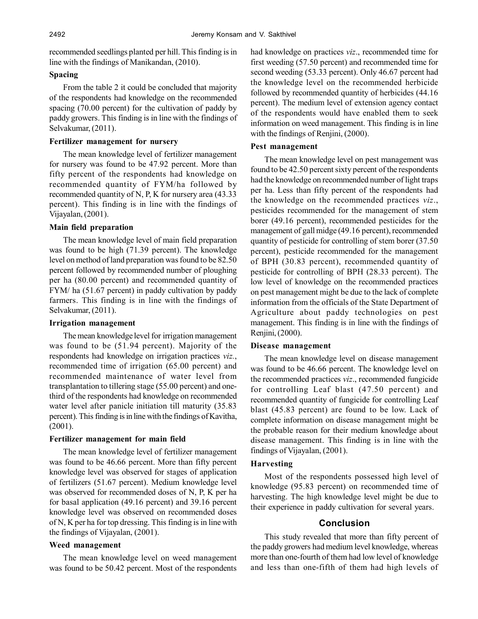recommended seedlings planted per hill. This finding is in line with the findings of Manikandan, (2010).

## **Spacing**

From the table 2 it could be concluded that majority of the respondents had knowledge on the recommended spacing (70.00 percent) for the cultivation of paddy by paddy growers. This finding is in line with the findings of Selvakumar, (2011).

#### **Fertilizer management for nursery**

The mean knowledge level of fertilizer management for nursery was found to be 47.92 percent. More than fifty percent of the respondents had knowledge on recommended quantity of FYM/ha followed by recommended quantity of N, P, K for nursery area (43.33 percent). This finding is in line with the findings of Vijayalan, (2001).

#### **Main field preparation**

The mean knowledge level of main field preparation was found to be high (71.39 percent). The knowledge level on method of land preparation was found to be 82.50 percent followed by recommended number of ploughing per ha (80.00 percent) and recommended quantity of FYM/ ha (51.67 percent) in paddy cultivation by paddy farmers. This finding is in line with the findings of Selvakumar, (2011).

#### **Irrigation management**

The mean knowledge level for irrigation management was found to be (51.94 percent). Majority of the respondents had knowledge on irrigation practices *viz.*, recommended time of irrigation (65.00 percent) and recommended maintenance of water level from transplantation to tillering stage (55.00 percent) and onethird of the respondents had knowledge on recommended water level after panicle initiation till maturity (35.83 percent). This finding is in line with the findings of Kavitha, (2001).

## **Fertilizer management for main field**

The mean knowledge level of fertilizer management was found to be 46.66 percent. More than fifty percent knowledge level was observed for stages of application of fertilizers (51.67 percent). Medium knowledge level was observed for recommended doses of N, P, K per ha for basal application (49.16 percent) and 39.16 percent knowledge level was observed on recommended doses of N, K per ha for top dressing. This finding is in line with the findings of Vijayalan, (2001).

# **Weed management**

The mean knowledge level on weed management was found to be 50.42 percent. Most of the respondents had knowledge on practices *viz*., recommended time for first weeding (57.50 percent) and recommended time for second weeding (53.33 percent). Only 46.67 percent had the knowledge level on the recommended herbicide followed by recommended quantity of herbicides (44.16 percent). The medium level of extension agency contact of the respondents would have enabled them to seek information on weed management. This finding is in line with the findings of Renjini, (2000).

#### **Pest management**

The mean knowledge level on pest management was found to be 42.50 percent sixty percent of the respondents had the knowledge on recommended number of light traps per ha. Less than fifty percent of the respondents had the knowledge on the recommended practices *viz*., pesticides recommended for the management of stem borer (49.16 percent), recommended pesticides for the management of gall midge (49.16 percent), recommended quantity of pesticide for controlling of stem borer (37.50 percent), pesticide recommended for the management of BPH (30.83 percent), recommended quantity of pesticide for controlling of BPH (28.33 percent). The low level of knowledge on the recommended practices on pest management might be due to the lack of complete information from the officials of the State Department of Agriculture about paddy technologies on pest management. This finding is in line with the findings of Renjini, (2000).

## **Disease management**

The mean knowledge level on disease management was found to be 46.66 percent. The knowledge level on the recommended practices *viz*., recommended fungicide for controlling Leaf blast (47.50 percent) and recommended quantity of fungicide for controlling Leaf blast (45.83 percent) are found to be low. Lack of complete information on disease management might be the probable reason for their medium knowledge about disease management. This finding is in line with the findings of Vijayalan, (2001).

## **Harvesting**

Most of the respondents possessed high level of knowledge (95.83 percent) on recommended time of harvesting. The high knowledge level might be due to their experience in paddy cultivation for several years.

## **Conclusion**

This study revealed that more than fifty percent of the paddy growers had medium level knowledge, whereas more than one-fourth of them had low level of knowledge and less than one-fifth of them had high levels of